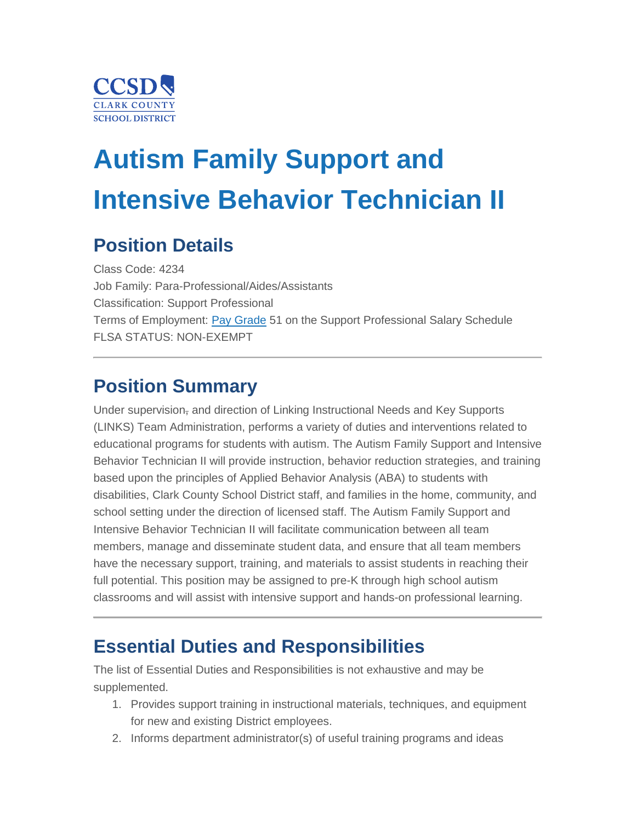

# **Autism Family Support and Intensive Behavior Technician II**

## **Position Details**

Class Code: 4234 Job Family: Para-Professional/Aides/Assistants Classification: Support Professional Terms of Employment: [Pay Grade](https://ccsd.net/employees/current/employment/salary) 51 on the Support Professional Salary Schedule FLSA STATUS: NON-EXEMPT

## **Position Summary**

Under supervision<sub>7</sub> and direction of Linking Instructional Needs and Key Supports (LINKS) Team Administration, performs a variety of duties and interventions related to educational programs for students with autism. The Autism Family Support and Intensive Behavior Technician II will provide instruction, behavior reduction strategies, and training based upon the principles of Applied Behavior Analysis (ABA) to students with disabilities, Clark County School District staff, and families in the home, community, and school setting under the direction of licensed staff. The Autism Family Support and Intensive Behavior Technician II will facilitate communication between all team members, manage and disseminate student data, and ensure that all team members have the necessary support, training, and materials to assist students in reaching their full potential. This position may be assigned to pre-K through high school autism classrooms and will assist with intensive support and hands-on professional learning.

## **Essential Duties and Responsibilities**

The list of Essential Duties and Responsibilities is not exhaustive and may be supplemented.

- 1. Provides support training in instructional materials, techniques, and equipment for new and existing District employees.
- 2. Informs department administrator(s) of useful training programs and ideas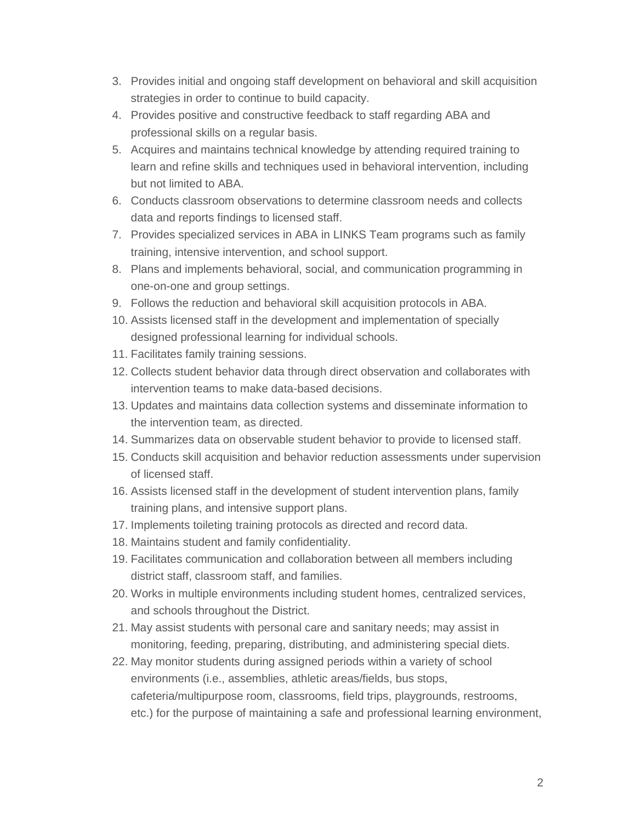- 3. Provides initial and ongoing staff development on behavioral and skill acquisition strategies in order to continue to build capacity.
- 4. Provides positive and constructive feedback to staff regarding ABA and professional skills on a regular basis.
- 5. Acquires and maintains technical knowledge by attending required training to learn and refine skills and techniques used in behavioral intervention, including but not limited to ABA.
- 6. Conducts classroom observations to determine classroom needs and collects data and reports findings to licensed staff.
- 7. Provides specialized services in ABA in LINKS Team programs such as family training, intensive intervention, and school support.
- 8. Plans and implements behavioral, social, and communication programming in one-on-one and group settings.
- 9. Follows the reduction and behavioral skill acquisition protocols in ABA.
- 10. Assists licensed staff in the development and implementation of specially designed professional learning for individual schools.
- 11. Facilitates family training sessions.
- 12. Collects student behavior data through direct observation and collaborates with intervention teams to make data-based decisions.
- 13. Updates and maintains data collection systems and disseminate information to the intervention team, as directed.
- 14. Summarizes data on observable student behavior to provide to licensed staff.
- 15. Conducts skill acquisition and behavior reduction assessments under supervision of licensed staff.
- 16. Assists licensed staff in the development of student intervention plans, family training plans, and intensive support plans.
- 17. Implements toileting training protocols as directed and record data.
- 18. Maintains student and family confidentiality.
- 19. Facilitates communication and collaboration between all members including district staff, classroom staff, and families.
- 20. Works in multiple environments including student homes, centralized services, and schools throughout the District.
- 21. May assist students with personal care and sanitary needs; may assist in monitoring, feeding, preparing, distributing, and administering special diets.
- 22. May monitor students during assigned periods within a variety of school environments (i.e., assemblies, athletic areas/fields, bus stops, cafeteria/multipurpose room, classrooms, field trips, playgrounds, restrooms, etc.) for the purpose of maintaining a safe and professional learning environment,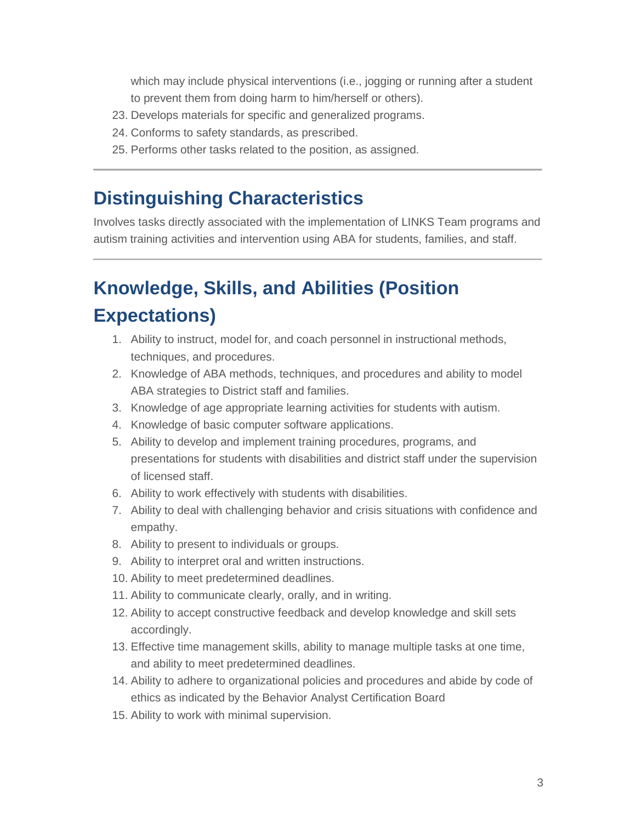which may include physical interventions (i.e., jogging or running after a student to prevent them from doing harm to him/herself or others).

- 23. Develops materials for specific and generalized programs.
- 24. Conforms to safety standards, as prescribed.
- 25. Performs other tasks related to the position, as assigned.

## **Distinguishing Characteristics**

Involves tasks directly associated with the implementation of LINKS Team programs and autism training activities and intervention using ABA for students, families, and staff.

## **Knowledge, Skills, and Abilities (Position Expectations)**

- 1. Ability to instruct, model for, and coach personnel in instructional methods, techniques, and procedures.
- 2. Knowledge of ABA methods, techniques, and procedures and ability to model ABA strategies to District staff and families.
- 3. Knowledge of age appropriate learning activities for students with autism.
- 4. Knowledge of basic computer software applications.
- 5. Ability to develop and implement training procedures, programs, and presentations for students with disabilities and district staff under the supervision of licensed staff.
- 6. Ability to work effectively with students with disabilities.
- 7. Ability to deal with challenging behavior and crisis situations with confidence and empathy.
- 8. Ability to present to individuals or groups.
- 9. Ability to interpret oral and written instructions.
- 10. Ability to meet predetermined deadlines.
- 11. Ability to communicate clearly, orally, and in writing.
- 12. Ability to accept constructive feedback and develop knowledge and skill sets accordingly.
- 13. Effective time management skills, ability to manage multiple tasks at one time, and ability to meet predetermined deadlines.
- 14. Ability to adhere to organizational policies and procedures and abide by code of ethics as indicated by the Behavior Analyst Certification Board
- 15. Ability to work with minimal supervision.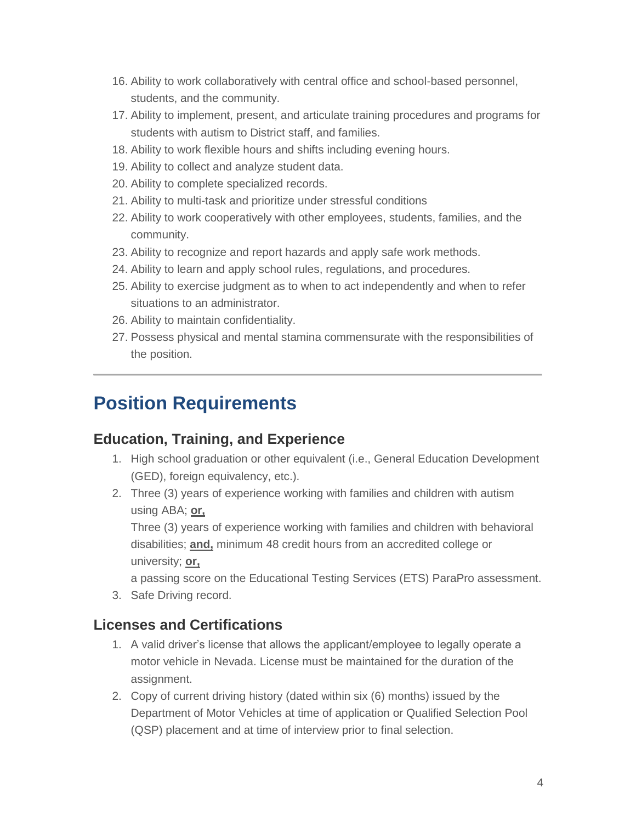- 16. Ability to work collaboratively with central office and school-based personnel, students, and the community.
- 17. Ability to implement, present, and articulate training procedures and programs for students with autism to District staff, and families.
- 18. Ability to work flexible hours and shifts including evening hours.
- 19. Ability to collect and analyze student data.
- 20. Ability to complete specialized records.
- 21. Ability to multi-task and prioritize under stressful conditions
- 22. Ability to work cooperatively with other employees, students, families, and the community.
- 23. Ability to recognize and report hazards and apply safe work methods.
- 24. Ability to learn and apply school rules, regulations, and procedures.
- 25. Ability to exercise judgment as to when to act independently and when to refer situations to an administrator.
- 26. Ability to maintain confidentiality.
- 27. Possess physical and mental stamina commensurate with the responsibilities of the position.

## **Position Requirements**

#### **Education, Training, and Experience**

- 1. High school graduation or other equivalent (i.e., General Education Development (GED), foreign equivalency, etc.).
- 2. Three (3) years of experience working with families and children with autism using ABA; **or,**

Three (3) years of experience working with families and children with behavioral disabilities; **and,** minimum 48 credit hours from an accredited college or university; **or,**

a passing score on the Educational Testing Services (ETS) ParaPro assessment.

3. Safe Driving record.

#### **Licenses and Certifications**

- 1. A valid driver's license that allows the applicant/employee to legally operate a motor vehicle in Nevada. License must be maintained for the duration of the assignment.
- 2. Copy of current driving history (dated within six (6) months) issued by the Department of Motor Vehicles at time of application or Qualified Selection Pool (QSP) placement and at time of interview prior to final selection.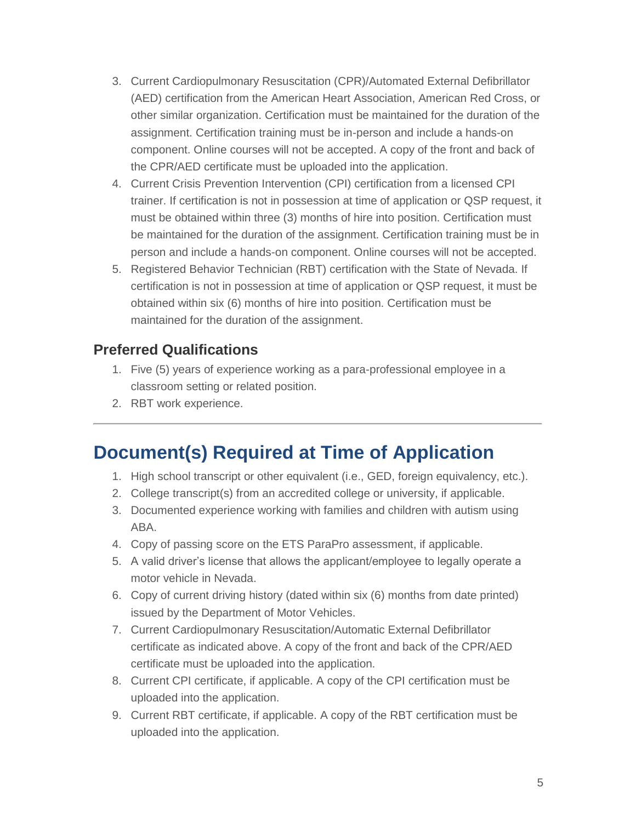- 3. Current Cardiopulmonary Resuscitation (CPR)/Automated External Defibrillator (AED) certification from the American Heart Association, American Red Cross, or other similar organization. Certification must be maintained for the duration of the assignment. Certification training must be in-person and include a hands-on component. Online courses will not be accepted. A copy of the front and back of the CPR/AED certificate must be uploaded into the application.
- 4. Current Crisis Prevention Intervention (CPI) certification from a licensed CPI trainer. If certification is not in possession at time of application or QSP request, it must be obtained within three (3) months of hire into position. Certification must be maintained for the duration of the assignment. Certification training must be in person and include a hands-on component. Online courses will not be accepted.
- 5. Registered Behavior Technician (RBT) certification with the State of Nevada. If certification is not in possession at time of application or QSP request, it must be obtained within six (6) months of hire into position. Certification must be maintained for the duration of the assignment.

#### **Preferred Qualifications**

- 1. Five (5) years of experience working as a para-professional employee in a classroom setting or related position.
- 2. RBT work experience.

## **Document(s) Required at Time of Application**

- 1. High school transcript or other equivalent (i.e., GED, foreign equivalency, etc.).
- 2. College transcript(s) from an accredited college or university, if applicable.
- 3. Documented experience working with families and children with autism using ABA.
- 4. Copy of passing score on the ETS ParaPro assessment, if applicable.
- 5. A valid driver's license that allows the applicant/employee to legally operate a motor vehicle in Nevada.
- 6. Copy of current driving history (dated within six (6) months from date printed) issued by the Department of Motor Vehicles.
- 7. Current Cardiopulmonary Resuscitation/Automatic External Defibrillator certificate as indicated above. A copy of the front and back of the CPR/AED certificate must be uploaded into the application.
- 8. Current CPI certificate, if applicable. A copy of the CPI certification must be uploaded into the application.
- 9. Current RBT certificate, if applicable. A copy of the RBT certification must be uploaded into the application.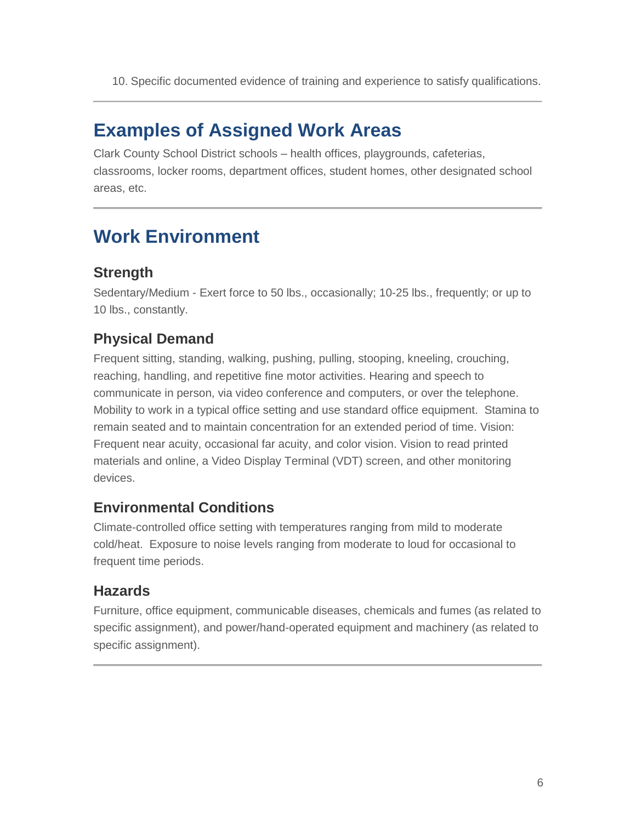10. Specific documented evidence of training and experience to satisfy qualifications.

## **Examples of Assigned Work Areas**

Clark County School District schools – health offices, playgrounds, cafeterias, classrooms, locker rooms, department offices, student homes, other designated school areas, etc.

## **Work Environment**

#### **Strength**

Sedentary/Medium - Exert force to 50 lbs., occasionally; 10-25 lbs., frequently; or up to 10 lbs., constantly.

### **Physical Demand**

Frequent sitting, standing, walking, pushing, pulling, stooping, kneeling, crouching, reaching, handling, and repetitive fine motor activities. Hearing and speech to communicate in person, via video conference and computers, or over the telephone. Mobility to work in a typical office setting and use standard office equipment. Stamina to remain seated and to maintain concentration for an extended period of time. Vision: Frequent near acuity, occasional far acuity, and color vision. Vision to read printed materials and online, a Video Display Terminal (VDT) screen, and other monitoring devices.

#### **Environmental Conditions**

Climate-controlled office setting with temperatures ranging from mild to moderate cold/heat. Exposure to noise levels ranging from moderate to loud for occasional to frequent time periods.

#### **Hazards**

Furniture, office equipment, communicable diseases, chemicals and fumes (as related to specific assignment), and power/hand-operated equipment and machinery (as related to specific assignment).